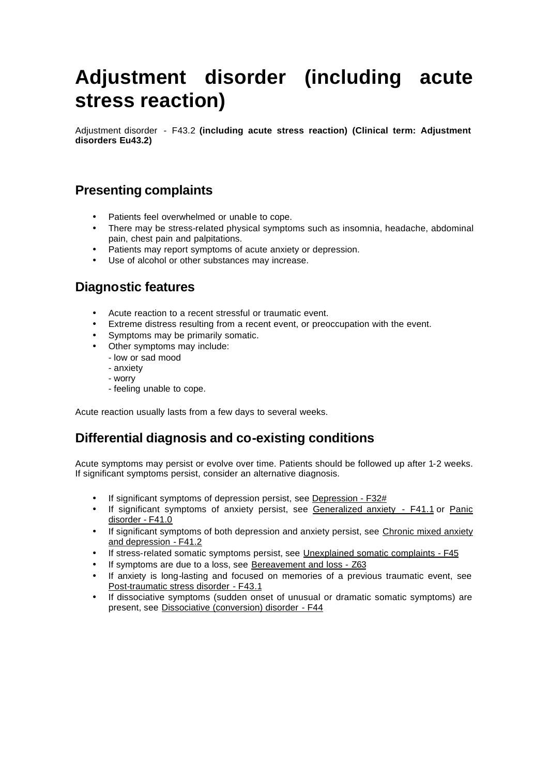# **Adjustment disorder (including acute stress reaction)**

Adjustment disorder - F43.2 **(including acute stress reaction) (Clinical term: Adjustment disorders Eu43.2)**

# **Presenting complaints**

- Patients feel overwhelmed or unable to cope.
- There may be stress-related physical symptoms such as insomnia, headache, abdominal pain, chest pain and palpitations.
- Patients may report symptoms of acute anxiety or depression.
- Use of alcohol or other substances may increase.

# **Diagnostic features**

- Acute reaction to a recent stressful or traumatic event.
- Extreme distress resulting from a recent event, or preoccupation with the event.
- Symptoms may be primarily somatic.
- Other symptoms may include:
	- low or sad mood
	- anxiety
	- worry
	- feeling unable to cope.

Acute reaction usually lasts from a few days to several weeks.

## **Differential diagnosis and co-existing conditions**

Acute symptoms may persist or evolve over time. Patients should be followed up after 1-2 weeks. If significant symptoms persist, consider an alternative diagnosis.

- If significant symptoms of depression persist, see Depression F32#
- If significant symptoms of anxiety persist, see Generalized anxiety F41.1 or Panic disorder - F41.0
- If significant symptoms of both depression and anxiety persist, see Chronic mixed anxiety and depression - F41.2
- If stress-related somatic symptoms persist, see Unexplained somatic complaints F45
- If symptoms are due to a loss, see Bereavement and loss Z63
- If anxiety is long-lasting and focused on memories of a previous traumatic event, see Post-traumatic stress disorder - F43.1
- If dissociative symptoms (sudden onset of unusual or dramatic somatic symptoms) are present, see Dissociative (conversion) disorder - F44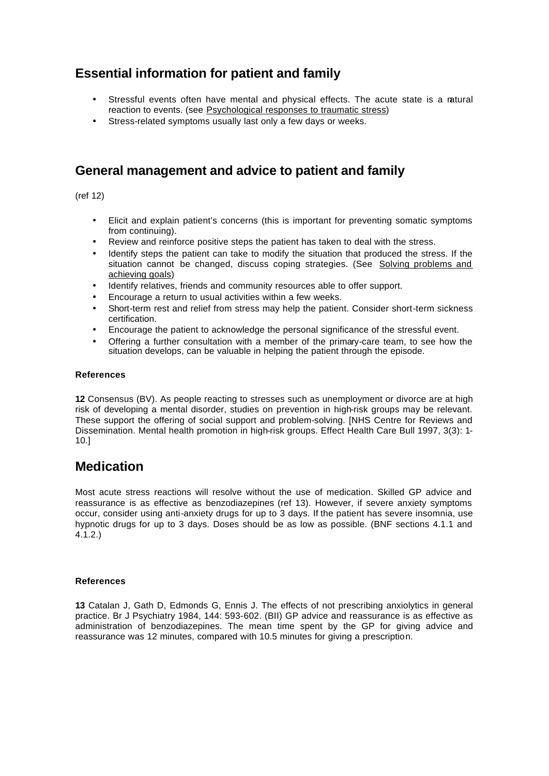# **Essential information for patient and family**

- Stressful events often have mental and physical effects. The acute state is a natural reaction to events. (see Psychological responses to traumatic stress)
- Stress-related symptoms usually last only a few days or weeks.

# **General management and advice to patient and family**

(ref 12)

- Elicit and explain patient's concerns (this is important for preventing somatic symptoms from continuing).
- Review and reinforce positive steps the patient has taken to deal with the stress.
- Identify steps the patient can take to modify the situation that produced the stress. If the situation cannot be changed, discuss coping strategies. (See Solving problems and achieving goals)
- Identify relatives, friends and community resources able to offer support.
- Encourage a return to usual activities within a few weeks.
- Short-term rest and relief from stress may help the patient. Consider short-term sickness certification.
- Encourage the patient to acknowledge the personal significance of the stressful event.
- Offering a further consultation with a member of the primary-care team, to see how the situation develops, can be valuable in helping the patient through the episode.

## **References**

**12** Consensus (BV). As people reacting to stresses such as unemployment or divorce are at high risk of developing a mental disorder, studies on prevention in high-risk groups may be relevant. These support the offering of social support and problem-solving. [NHS Centre for Reviews and Dissemination. Mental health promotion in high-risk groups. Effect Health Care Bull 1997, 3(3): 1- 10.]

## **Medication**

Most acute stress reactions will resolve without the use of medication. Skilled GP advice and reassurance is as effective as benzodiazepines (ref 13). However, if severe anxiety symptoms occur, consider using anti-anxiety drugs for up to 3 days. If the patient has severe insomnia, use hypnotic drugs for up to 3 days. Doses should be as low as possible. (BNF sections 4.1.1 and 4.1.2.)

## **References**

**13** Catalan J, Gath D, Edmonds G, Ennis J. The effects of not prescribing anxiolytics in general practice. Br J Psychiatry 1984, 144: 593-602. (BII) GP advice and reassurance is as effective as administration of benzodiazepines. The mean time spent by the GP for giving advice and reassurance was 12 minutes, compared with 10.5 minutes for giving a prescription.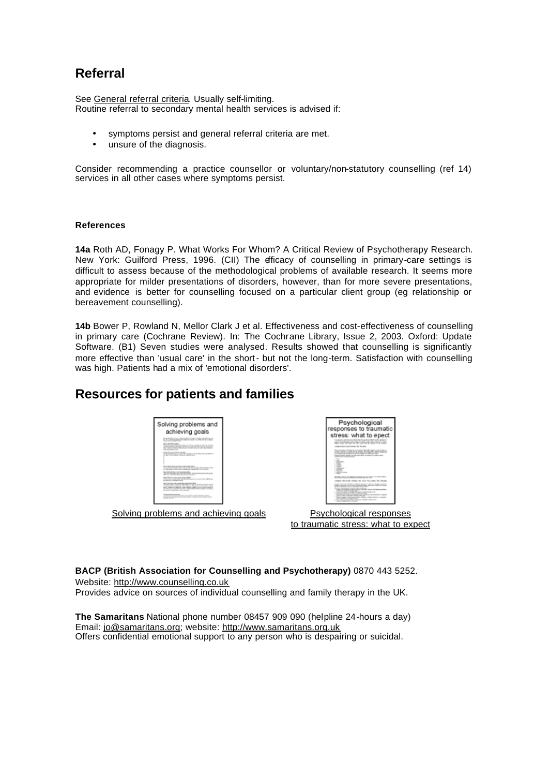# **Referral**

See General referral criteria. Usually self-limiting. Routine referral to secondary mental health services is advised if:

- symptoms persist and general referral criteria are met.
- unsure of the diagnosis.

Consider recommending a practice counsellor or voluntary/non-statutory counselling (ref 14) services in all other cases where symptoms persist.

## **References**

**14a** Roth AD, Fonagy P. What Works For Whom? A Critical Review of Psychotherapy Research. New York: Guilford Press, 1996. (CII) The efficacy of counselling in primary-care settings is difficult to assess because of the methodological problems of available research. It seems more appropriate for milder presentations of disorders, however, than for more severe presentations, and evidence is better for counselling focused on a particular client group (eg relationship or bereavement counselling).

**14b** Bower P, Rowland N, Mellor Clark J et al. Effectiveness and cost-effectiveness of counselling in primary care (Cochrane Review). In: The Cochrane Library, Issue 2, 2003. Oxford: Update Software. (B1) Seven studies were analysed. Results showed that counselling is significantly more effective than 'usual care' in the short- but not the long-term. Satisfaction with counselling was high. Patients had a mix of 'emotional disorders'.

## **Resources for patients and families**

| Solving problems and<br>achieving goals<br>the pain day of an of an excess send and determined the dealers of a dealer product of<br>the first price page is used to a price of the top security<br><b>Send Chrysler de Antique</b><br>the day the control will be compatible to the control of the control of the con-<br>and workers a layered ratios account on the cat on Factors'<br>all costs to be traditions at the ten at the cost of contracts.<br>THE ARCHEMENT FLAT<br>The Company and in the Company of the Company of the Company of the Company of the Company of the Company of the Company of the Company of the Company of the Company of the Company of the Company of the Company of the Comp<br>an age for the product service and the product<br>Skill Strainburn and about about \$1,000<br>CONTRACTOR IN THE RELEASE PRODUCT OF<br>to have been and about completion, wanted the constants<br>Tax A. Delettik Auk A. servanta Alay Alaka<br>of the state of the process that we can be a sec-<br>liked: She has in parts advance doesn't skipler.<br>of the many could with more of on this way is a common basis, allow one<br>and and company of the state state and<br>layed the finance and an electric parameter and an alt distant<br>of cash cables there is "taken the to apply to dead a look comfor-<br>I does not a realistic fact right artists for a station research<br>sent there is clear to relate and to prove the control of<br>can show their complete forecasts. Follow will be called an or will be<br>becomes at your standard wide of siles and<br>and in the compact forest and the control of the compact of the compact of the compact of the compact of the compact of the compact of the compact of the compact of the compact of the compact of the compact of the compact | Psychological<br>responses to traumatic<br>stress: what to epect<br>and the first state that the first that the control back of the state<br>BETWEEN BOOK SATELLY<br>commentary times desire a lot the con-<br>the contents in concentration of a policy standard equation in the development<br>and with some in a man think of your agest<br>IT WANTED BY AN AID TO WITH STATE TO SHE TO THE<br>international mask conference alla correspondente<br>and the court of the court of the<br>STORY FIELD, TV, AND SALES MALE, March 1987 1997 1997<br>Lease Machine Street, he cars machine, he mused<br>THE R. P. LEWIS CO., LANSING, MICH. 49-14039-1-120-2<br>also in this by it was not. However, you have the confinery from<br>produces the first area contact a france cars.<br>the control of the state of the control of the con-<br>three control plans is allowed that they are the company of the material<br>AND ARRANGEMENT WAS ARRESTED FOR |
|----------------------------------------------------------------------------------------------------------------------------------------------------------------------------------------------------------------------------------------------------------------------------------------------------------------------------------------------------------------------------------------------------------------------------------------------------------------------------------------------------------------------------------------------------------------------------------------------------------------------------------------------------------------------------------------------------------------------------------------------------------------------------------------------------------------------------------------------------------------------------------------------------------------------------------------------------------------------------------------------------------------------------------------------------------------------------------------------------------------------------------------------------------------------------------------------------------------------------------------------------------------------------------------------------------------------------------------------------------------------------------------------------------------------------------------------------------------------------------------------------------------------------------------------------------------------------------------------------------------------------------------------------------------------------------------------------------------------------------------------------------------------------------------------------------------------------------|-----------------------------------------------------------------------------------------------------------------------------------------------------------------------------------------------------------------------------------------------------------------------------------------------------------------------------------------------------------------------------------------------------------------------------------------------------------------------------------------------------------------------------------------------------------------------------------------------------------------------------------------------------------------------------------------------------------------------------------------------------------------------------------------------------------------------------------------------------------------------------------------------------------------------------------------------------------|
| Solving problems and achieving goals                                                                                                                                                                                                                                                                                                                                                                                                                                                                                                                                                                                                                                                                                                                                                                                                                                                                                                                                                                                                                                                                                                                                                                                                                                                                                                                                                                                                                                                                                                                                                                                                                                                                                                                                                                                             | the great distribution with a single control of<br>Psychological responses                                                                                                                                                                                                                                                                                                                                                                                                                                                                                                                                                                                                                                                                                                                                                                                                                                                                                |

to traumatic stress: what to expect

**BACP (British Association for Counselling and Psychotherapy)** 0870 443 5252. Website: http://www.counselling.co.uk

Provides advice on sources of individual counselling and family therapy in the UK.

**The Samaritans** National phone number 08457 909 090 (helpline 24-hours a day) Email: jo@samaritans.org; website: http://www.samaritans.org.uk Offers confidential emotional support to any person who is despairing or suicidal.